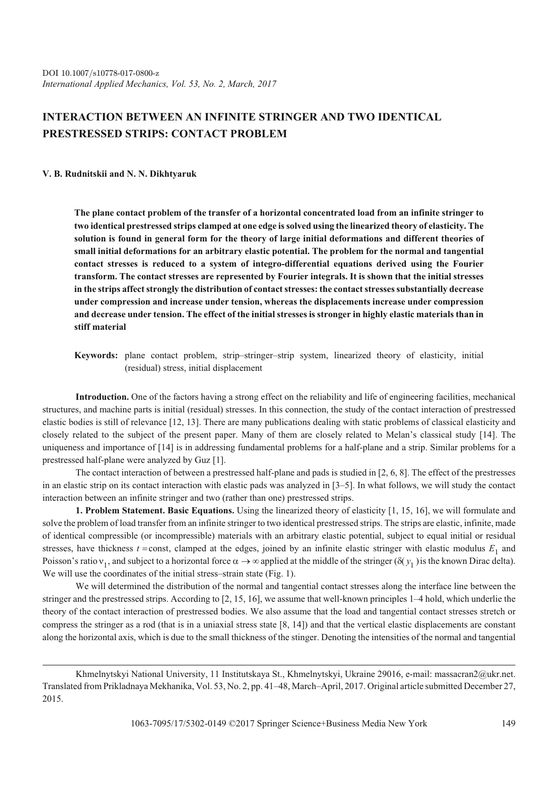## **INTERACTION BETWEEN AN INFINITE STRINGER AND TWO IDENTICAL PRESTRESSED STRIPS: CONTACT PROBLEM**

## **V. B. Rudnitskii and N. N. Dikhtyaruk**

**The plane contact problem of the transfer of a horizontal concentrated load from an infinite stringer to two identical prestressed strips clamped at one edge is solved using the linearized theory of elasticity. The solution is found in general form for the theory of large initial deformations and different theories of small initial deformations for an arbitrary elastic potential. The problem for the normal and tangential contact stresses is reduced to a system of integro-differential equations derived using the Fourier transform. The contact stresses are represented by Fourier integrals. It is shown that the initial stresses in the strips affect strongly the distribution of contact stresses: the contact stresses substantially decrease under compression and increase under tension, whereas the displacements increase under compression and decrease under tension. The effect of the initial stresses is stronger in highly elastic materials than in stiff material**

**Keywords:** plane contact problem, strip–stringer–strip system, linearized theory of elasticity, initial (residual) stress, initial displacement

**Introduction.** One of the factors having a strong effect on the reliability and life of engineering facilities, mechanical structures, and machine parts is initial (residual) stresses. In this connection, the study of the contact interaction of prestressed elastic bodies is still of relevance [12, 13]. There are many publications dealing with static problems of classical elasticity and closely related to the subject of the present paper. Many of them are closely related to Melan's classical study [14]. The uniqueness and importance of [14] is in addressing fundamental problems for a half-plane and a strip. Similar problems for a prestressed half-plane were analyzed by Guz [1].

The contact interaction of between a prestressed half-plane and pads is studied in [2, 6, 8]. The effect of the prestresses in an elastic strip on its contact interaction with elastic pads was analyzed in [3–5]. In what follows, we will study the contact interaction between an infinite stringer and two (rather than one) prestressed strips.

**1. Problem Statement. Basic Equations.** Using the linearized theory of elasticity [1, 15, 16], we will formulate and solve the problem of load transfer from an infinite stringer to two identical prestressed strips. The strips are elastic, infinite, made of identical compressible (or incompressible) materials with an arbitrary elastic potential, subject to equal initial or residual stresses, have thickness  $t =$ const, clamped at the edges, joined by an infinite elastic stringer with elastic modulus  $E_1$  and Poisson's ratio  $v_1$ , and subject to a horizontal force  $\alpha \to \infty$  applied at the middle of the stringer ( $\delta(y_1)$ ) is the known Dirac delta). We will use the coordinates of the initial stress–strain state (Fig. 1).

We will determined the distribution of the normal and tangential contact stresses along the interface line between the stringer and the prestressed strips. According to [2, 15, 16], we assume that well-known principles 1–4 hold, which underlie the theory of the contact interaction of prestressed bodies. We also assume that the load and tangential contact stresses stretch or compress the stringer as a rod (that is in a uniaxial stress state [8, 14]) and that the vertical elastic displacements are constant along the horizontal axis, which is due to the small thickness of the stinger. Denoting the intensities of the normal and tangential

Khmelnytskyi National University, 11 Institutskaya St., Khmelnytskyi, Ukraine 29016, e-mail: massacran2@ukr.net. Translated from Prikladnaya Mekhanika, Vol. 53, No. 2, pp. 41–48, March–April, 2017. Original article submitted December 27, 2015.